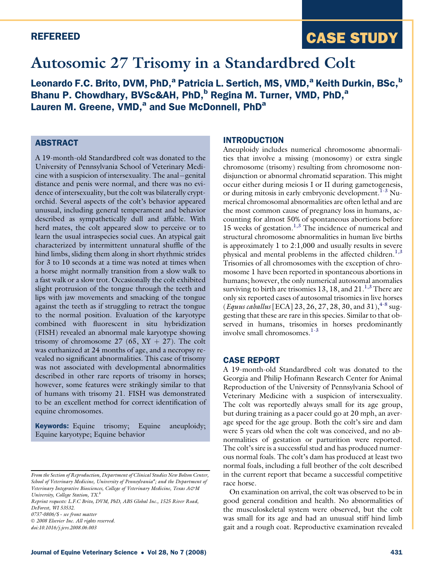### REFEREED

# CASE STUDY

## Autosomic 27 Trisomy in a Standardbred Colt

Leonardo F.C. Brito, DVM, PhD,<sup>a</sup> Patricia L. Sertich, MS, VMD,<sup>a</sup> Keith Durkin, BSc,<sup>b</sup> Bhanu P. Chowdhary, BVSc&AH, PhD,<sup>b</sup> Regina M. Turner, VMD, PhD,<sup>a</sup> Lauren M. Greene, VMD,<sup>a</sup> and Sue McDonnell, PhD<sup>a</sup>

## **ABSTRACT**

A 19-month-old Standardbred colt was donated to the University of Pennsylvania School of Veterinary Medicine with a suspicion of intersexuality. The anal-genital distance and penis were normal, and there was no evidence of intersexuality, but the colt was bilaterally cryptorchid. Several aspects of the colt's behavior appeared unusual, including general temperament and behavior described as sympathetically dull and affable. With herd mates, the colt appeared slow to perceive or to learn the usual intraspecies social cues. An atypical gait characterized by intermittent unnatural shuffle of the hind limbs, sliding them along in short rhythmic strides for 3 to 10 seconds at a time was noted at times when a horse might normally transition from a slow walk to a fast walk or a slow trot. Occasionally the colt exhibited slight protrusion of the tongue through the teeth and lips with jaw movements and smacking of the tongue against the teeth as if struggling to retract the tongue to the normal position. Evaluation of the karyotype combined with fluorescent in situ hybridization (FISH) revealed an abnormal male karyotype showing trisomy of chromosome 27 (65,  $XY + 27$ ). The colt was euthanized at 24 months of age, and a necropsy revealed no significant abnormalities. This case of trisomy was not associated with developmental abnormalities described in other rare reports of trisomy in horses; however, some features were strikingly similar to that of humans with trisomy 21. FISH was demonstrated to be an excellent method for correct identification of equine chromosomes.

**Keywords:** Equine trisomy; Equine aneuploidy; Equine karyotype; Equine behavior

© 2008 Elsevier Inc. All rights reserved.

#### INTRODUCTION

Aneuploidy includes numerical chromosome abnormalities that involve a missing (monosomy) or extra single chromosome (trisomy) resulting from chromosome nondisjunction or abnormal chromatid separation. This might occur either during meiosis I or II during gametogenesis, or during mitosis in early embryonic development.<sup>[1-3](#page-5-0)</sup> Numerical chromosomal abnormalities are often lethal and are the most common cause of pregnancy loss in humans, accounting for almost 50% of spontaneous abortions before 15 weeks of gestation.<sup>[1,3](#page-5-0)</sup> The incidence of numerical and structural chromosome abnormalities in human live births is approximately 1 to 2:1,000 and usually results in severe physical and mental problems in the affected children.<sup>[1,3](#page-5-0)</sup> Trisomies of all chromosomes with the exception of chromosome 1 have been reported in spontaneous abortions in humans; however, the only numerical autosomal anomalies surviving to birth are trisomies 13, 18, and  $21.^{1,3}$  $21.^{1,3}$  $21.^{1,3}$  There are only six reported cases of autosomal trisomies in live horses (*Equus caballus* [ECA] 23, 26, 27, 28, 30, and 31),<sup>[4-8](#page-5-0)</sup> suggesting that these are rare in this species. Similar to that observed in humans, trisomies in horses predominantly involve small chromosomes. $1-3$ 

#### CASE REPORT

A 19-month-old Standardbred colt was donated to the Georgia and Philip Hofmann Research Center for Animal Reproduction of the University of Pennsylvania School of Veterinary Medicine with a suspicion of intersexuality. The colt was reportedly always small for its age group, but during training as a pacer could go at 20 mph, an average speed for the age group. Both the colt's sire and dam were 5 years old when the colt was conceived, and no abnormalities of gestation or parturition were reported. The colt's sire is a successful stud and has produced numerous normal foals. The colt's dam has produced at least two normal foals, including a full brother of the colt described in the current report that became a successful competitive race horse.

On examination on arrival, the colt was observed to be in good general condition and health. No abnormalities of the musculoskeletal system were observed, but the colt was small for its age and had an unusual stiff hind limb gait and a rough coat. Reproductive examination revealed

From the Section of Reproduction, Department of Clinical Studies New Bolton Center, School of Veterinary Medicine, University of Pennsylvania<sup>a</sup>; and the Department of Veterinary Integrative Biosciences, College of Veterinary Medicine, Texas A&M University, College Station, TX.<sup>b</sup>

Reprint requests: L.F.C Brito, DVM, PhD, ABS Global Inc., 1525 River Road, DeForest, WI 53532.

<sup>0737-0806/\$</sup> - see front matter

doi:10.1016/j.jevs.2008.06.003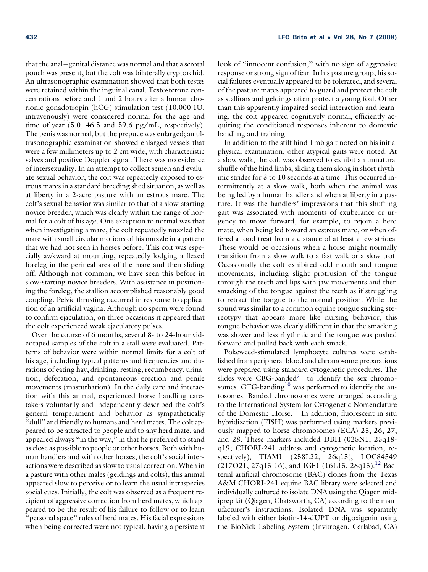that the anal-genital distance was normal and that a scrotal pouch was present, but the colt was bilaterally cryptorchid. An ultrasonographic examination showed that both testes were retained within the inguinal canal. Testosterone concentrations before and 1 and 2 hours after a human chorionic gonadotropin (hCG) stimulation test (10,000 IU, intravenously) were considered normal for the age and time of year  $(5.0, 46.5, 46.5)$  and  $(59.6, 49.6)$  respectively). The penis was normal, but the prepuce was enlarged; an ultrasonographic examination showed enlarged vessels that were a few millimeters up to 2 cm wide, with characteristic valves and positive Doppler signal. There was no evidence of intersexuality. In an attempt to collect semen and evaluate sexual behavior, the colt was repeatedly exposed to estrous mares in a standard breeding shed situation, as well as at liberty in a 2-acre pasture with an estrous mare. The colt's sexual behavior was similar to that of a slow-starting novice breeder, which was clearly within the range of normal for a colt of his age. One exception to normal was that when investigating a mare, the colt repeatedly nuzzled the mare with small circular motions of his muzzle in a pattern that we had not seen in horses before. This colt was especially awkward at mounting, repeatedly lodging a flexed foreleg in the perineal area of the mare and then sliding off. Although not common, we have seen this before in slow-starting novice breeders. With assistance in positioning the foreleg, the stallion accomplished reasonably good coupling. Pelvic thrusting occurred in response to application of an artificial vagina. Although no sperm were found to confirm ejaculation, on three occasions it appeared that the colt experienced weak ejaculatory pulses.

Over the course of 6 months, several 8- to 24-hour videotaped samples of the colt in a stall were evaluated. Patterns of behavior were within normal limits for a colt of his age, including typical patterns and frequencies and durations of eating hay, drinking, resting, recumbency, urination, defecation, and spontaneous erection and penile movements (masturbation). In the daily care and interaction with this animal, experienced horse handling caretakers voluntarily and independently described the colt's general temperament and behavior as sympathetically "dull" and friendly to humans and herd mates. The colt appeared to be attracted to people and to any herd mate, and appeared always "in the way," in that he preferred to stand as close as possible to people or other horses. Both with human handlers and with other horses, the colt's social interactions were described as slow to usual correction. When in a pasture with other males (geldings and colts), this animal appeared slow to perceive or to learn the usual intraspecies social cues. Initially, the colt was observed as a frequent recipient of aggressive correction from herd mates, which appeared to be the result of his failure to follow or to learn "personal space" rules of herd mates. His facial expressions when being corrected were not typical, having a persistent look of "innocent confusion," with no sign of aggressive response or strong sign of fear. In his pasture group, his social failures eventually appeared to be tolerated, and several of the pasture mates appeared to guard and protect the colt as stallions and geldings often protect a young foal. Other than this apparently impaired social interaction and learning, the colt appeared cognitively normal, efficiently acquiring the conditioned responses inherent to domestic handling and training.

In addition to the stiff hind-limb gait noted on his initial physical examination, other atypical gaits were noted. At a slow walk, the colt was observed to exhibit an unnatural shuffle of the hind limbs, sliding them along in short rhythmic strides for 3 to 10 seconds at a time. This occurred intermittently at a slow walk, both when the animal was being led by a human handler and when at liberty in a pasture. It was the handlers' impressions that this shuffling gait was associated with moments of exuberance or urgency to move forward, for example, to rejoin a herd mate, when being led toward an estrous mare, or when offered a food treat from a distance of at least a few strides. These would be occasions when a horse might normally transition from a slow walk to a fast walk or a slow trot. Occasionally the colt exhibited odd mouth and tongue movements, including slight protrusion of the tongue through the teeth and lips with jaw movements and then smacking of the tongue against the teeth as if struggling to retract the tongue to the normal position. While the sound was similar to a common equine tongue sucking stereotypy that appears more like nursing behavior, this tongue behavior was clearly different in that the smacking was slower and less rhythmic and the tongue was pushed forward and pulled back with each smack.

Pokeweed-stimulated lymphocyte cultures were established from peripheral blood and chromosome preparations were prepared using standard cytogenetic procedures. The slides were CBG-banded<sup>[9](#page-5-0)</sup> to identify the sex chromosomes. GTG-banding<sup>10</sup> was performed to identify the autosomes. Banded chromosomes were arranged according to the International System for Cytogenetic Nomenclature of the Domestic Horse.<sup>[11](#page-5-0)</sup> In addition, fluorescent in situ hybridization (FISH) was performed using markers previously mapped to horse chromosomes (ECA) 25, 26, 27, and 28. These markers included DBH (025N1, 25q18 q19; CHORI-241 address and cytogenetic location, respectively), TIAM1 (258L22, 26q15), LOC84549  $(217O21, 27q15-16)$ , and IGF1 (16L15, 28q15).<sup>[12](#page-5-0)</sup> Bacterial artificial chromosome (BAC) clones from the Texas A&M CHORI-241 equine BAC library were selected and individually cultured to isolate DNA using the Qiagen midiprep kit (Qiagen, Chatsworth, CA) according to the manufacturer's instructions. Isolated DNA was separately labeled with either biotin-14-dUPT or digoxigenin using the BioNick Labeling System (Invitrogen, Carlsbad, CA)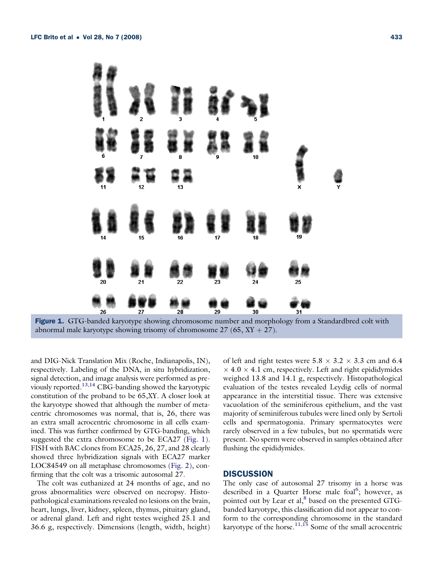

Figure 1. GTG-banded karyotype showing chromosome number and morphology from a Standardbred colt with abnormal male karyotype showing trisomy of chromosome  $27 (65, XY + 27)$ .

and DIG-Nick Translation Mix (Roche, Indianapolis, IN), respectively. Labeling of the DNA, in situ hybridization, signal detection, and image analysis were performed as previously reported.[13,14](#page-5-0) CBG-banding showed the karyotypic constitution of the proband to be 65,XY. A closer look at the karyotype showed that although the number of metacentric chromosomes was normal, that is, 26, there was an extra small acrocentric chromosome in all cells examined. This was further confirmed by GTG-banding, which suggested the extra chromosome to be ECA27 (Fig. 1). FISH with BAC clones from ECA25, 26, 27, and 28 clearly showed three hybridization signals with ECA27 marker LOC84549 on all metaphase chromosomes ([Fig. 2\)](#page-3-0), confirming that the colt was a trisomic autosomal 27.

The colt was euthanized at 24 months of age, and no gross abnormalities were observed on necropsy. Histopathological examinations revealed no lesions on the brain, heart, lungs, liver, kidney, spleen, thymus, pituitary gland, or adrenal gland. Left and right testes weighed 25.1 and 36.6 g, respectively. Dimensions (length, width, height) of left and right testes were  $5.8 \times 3.2 \times 3.3$  cm and 6.4  $\times$  4.0  $\times$  4.1 cm, respectively. Left and right epididymides weighed 13.8 and 14.1 g, respectively. Histopathological evaluation of the testes revealed Leydig cells of normal appearance in the interstitial tissue. There was extensive vacuolation of the seminiferous epithelium, and the vast majority of seminiferous tubules were lined only by Sertoli cells and spermatogonia. Primary spermatocytes were rarely observed in a few tubules, but no spermatids were present. No sperm were observed in samples obtained after flushing the epididymides.

#### **DISCUSSION**

The only case of autosomal 27 trisomy in a horse was described in a Quarter Horse male foal<sup>[6](#page-5-0)</sup>; however, as pointed out by Lear et al, $^8$  $^8$  based on the presented GTGbanded karyotype, this classification did not appear to conform to the corresponding chromosome in the standard karyotype of the horse. $11,15$  Some of the small acrocentric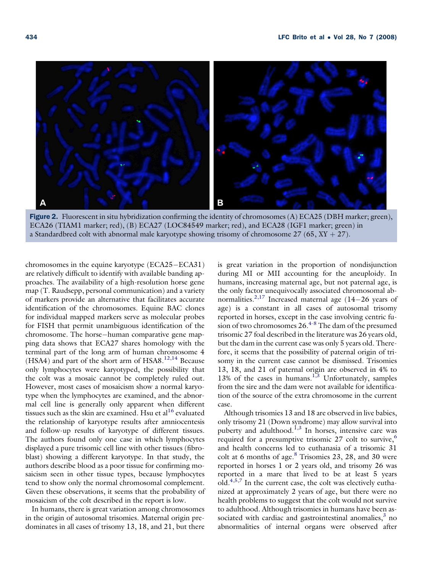<span id="page-3-0"></span>

Figure 2. Fluorescent in situ hybridization confirming the identity of chromosomes (A)  $ECA25$  (DBH marker; green), ECA26 (TIAM1 marker; red), (B) ECA27 (LOC84549 marker; red), and ECA28 (IGF1 marker; green) in a Standardbred colt with abnormal male karyotype showing trisomy of chromosome  $27$  (65,  $XY + 27$ ).

chromosomes in the equine karyotype (ECA25-ECA31) are relatively difficult to identify with available banding approaches. The availability of a high-resolution horse gene map (T. Raudsepp, personal communication) and a variety of markers provide an alternative that facilitates accurate identification of the chromosomes. Equine BAC clones for individual mapped markers serve as molecular probes for FISH that permit unambiguous identification of the chromosome. The horse-human comparative gene mapping data shows that ECA27 shares homology with the terminal part of the long arm of human chromosome 4 (HSA4) and part of the short arm of HSA8.<sup>[12,14](#page-5-0)</sup> Because only lymphocytes were karyotyped, the possibility that the colt was a mosaic cannot be completely ruled out. However, most cases of mosaicism show a normal karyotype when the lymphocytes are examined, and the abnormal cell line is generally only apparent when different tissues such as the skin are examined. Hsu et al $^{16}$  $^{16}$  $^{16}$  evaluated the relationship of karyotype results after amniocentesis and follow-up results of karyotype of different tissues. The authors found only one case in which lymphocytes displayed a pure trisomic cell line with other tissues (fibroblast) showing a different karyotype. In that study, the authors describe blood as a poor tissue for confirming mosaicism seen in other tissue types, because lymphocytes tend to show only the normal chromosomal complement. Given these observations, it seems that the probability of mosaicism of the colt described in the report is low.

In humans, there is great variation among chromosomes in the origin of autosomal trisomies. Maternal origin predominates in all cases of trisomy 13, 18, and 21, but there is great variation in the proportion of nondisjunction during MI or MII accounting for the aneuploidy. In humans, increasing maternal age, but not paternal age, is the only factor unequivocally associated chromosomal ab-normalities.<sup>[2,17](#page-5-0)</sup> Increased maternal age  $(14-26$  years of age) is a constant in all cases of autosomal trisomy reported in horses, except in the case involving centric fusion of two chromosomes  $26.4 - 8$  The dam of the presumed trisomic 27 foal described in the literature was 26 years old, but the dam in the current case was only 5 years old. Therefore, it seems that the possibility of paternal origin of trisomy in the current case cannot be dismissed. Trisomies 13, 18, and 21 of paternal origin are observed in 4% to  $13\%$  of the cases in humans.<sup>[1,3](#page-5-0)</sup> Unfortunately, samples from the sire and the dam were not available for identification of the source of the extra chromosome in the current case.

Although trisomies 13 and 18 are observed in live babies, only trisomy 21 (Down syndrome) may allow survival into puberty and adulthood.<sup>[1,3](#page-5-0)</sup> In horses, intensive care was required for a presumptive trisomic 27 colt to survive,<sup>[6](#page-5-0)</sup> and health concerns led to euthanasia of a trisomic 31 colt at 6 months of age.<sup>[8](#page-5-0)</sup> Trisomies 23, 28, and 30 were reported in horses 1 or 2 years old, and trisomy 26 was reported in a mare that lived to be at least 5 years old. $4,5,7$  In the current case, the colt was electively euthanized at approximately 2 years of age, but there were no health problems to suggest that the colt would not survive to adulthood. Although trisomies in humans have been associated with cardiac and gastrointestinal anomalies, $3$  no abnormalities of internal organs were observed after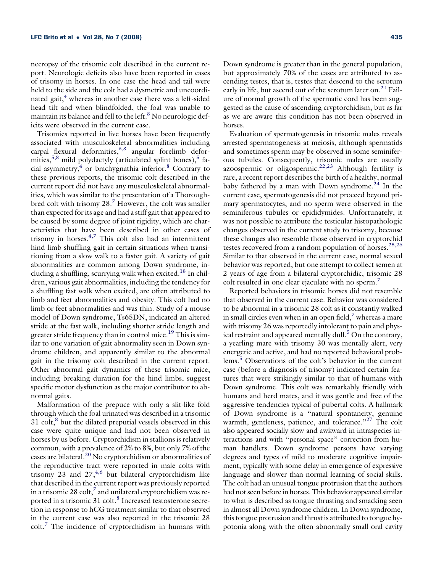necropsy of the trisomic colt described in the current report. Neurologic deficits also have been reported in cases of trisomy in horses. In one case the head and tail were held to the side and the colt had a dysmetric and uncoordinated gait, $4$  whereas in another case there was a left-sided head tilt and when blindfolded, the foal was unable to maintain its balance and fell to the left. $8$  No neurologic deficits were observed in the current case.

Trisomies reported in live horses have been frequently associated with musculoskeletal abnormalities including carpal flexural deformities,  $6,8$  angular forelimb deformities,  $5,8$  mild polydactyly (articulated splint bones),  $5$  facial asymmetry, $4$  or brachygnathia inferior. $8$  Contrary to these previous reports, the trisomic colt described in the current report did not have any musculoskeletal abnormalities, which was similar to the presentation of a Thoroughbred colt with trisomy 28.[7](#page-5-0) However, the colt was smaller than expected for its age and had a stiff gait that appeared to be caused by some degree of joint rigidity, which are characteristics that have been described in other cases of trisomy in horses. $4,7$  This colt also had an intermittent hind limb shuffling gait in certain situations when transitioning from a slow walk to a faster gait. A variety of gait abnormalities are common among Down syndrome, in-cluding a shuffling, scurrying walk when excited.<sup>[18](#page-5-0)</sup> In children, various gait abnormalities, including the tendency for a shuffling fast walk when excited, are often attributed to limb and feet abnormalities and obesity. This colt had no limb or feet abnormalities and was thin. Study of a mouse model of Down syndrome, Ts65DN, indicated an altered stride at the fast walk, including shorter stride length and greater stride frequency than in control mice.<sup>[19](#page-5-0)</sup> This is similar to one variation of gait abnormality seen in Down syndrome children, and apparently similar to the abnormal gait in the trisomy colt described in the current report. Other abnormal gait dynamics of these trisomic mice, including breaking duration for the hind limbs, suggest specific motor dysfunction as the major contributor to abnormal gaits.

Malformation of the prepuce with only a slit-like fold through which the foal urinated was described in a trisomic  $31 \text{ colt}$ , $8 \text{ but the dilated preputial vessels observed in this}$ case were quite unique and had not been observed in horses by us before. Cryptorchidism in stallions is relatively common, with a prevalence of 2% to 8%, but only 7% of the cases are bilateral.[20](#page-5-0) No cryptorchidism or abnormalities of the reproductive tract were reported in male colts with trisomy 23 and  $27,4,6$  $27,4,6$  but bilateral cryptorchidism like that described in the current report was previously reported in a trisomic 28  $\text{colt}$ ,<sup>[7](#page-5-0)</sup> and unilateral cryptorchidism was re-ported in a trisomic 31 colt.<sup>[8](#page-5-0)</sup> Increased testosterone secretion in response to hCG treatment similar to that observed in the current case was also reported in the trisomic 28 colt.[7](#page-5-0) The incidence of cryptorchidism in humans with Down syndrome is greater than in the general population, but approximately 70% of the cases are attributed to ascending testes, that is, testes that descend to the scrotum early in life, but ascend out of the scrotum later on.<sup>[21](#page-5-0)</sup> Failure of normal growth of the spermatic cord has been suggested as the cause of ascending cryptorchidism, but as far as we are aware this condition has not been observed in horses.

Evaluation of spermatogenesis in trisomic males reveals arrested spermatogenesis at meiosis, although spermatids and sometimes sperm may be observed in some seminiferous tubules. Consequently, trisomic males are usually azoospermic or oligospermic.<sup>[22,23](#page-5-0)</sup> Although fertility is rare, a recent report describes the birth of a healthy, normal baby fathered by a man with Down syndrome.<sup>[24](#page-5-0)</sup> In the current case, spermatogenesis did not proceed beyond primary spermatocytes, and no sperm were observed in the seminiferous tubules or epididymides. Unfortunately, it was not possible to attribute the testicular histopathologic changes observed in the current study to trisomy, because these changes also resemble those observed in cryptorchid testes recovered from a random population of horses.<sup>[25,26](#page-5-0)</sup> Similar to that observed in the current case, normal sexual behavior was reported, but one attempt to collect semen at 2 years of age from a bilateral cryptorchidic, trisomic 28 colt resulted in one clear ejaculate with no sperm.<sup>[7](#page-5-0)</sup>

Reported behaviors in trisomic horses did not resemble that observed in the current case. Behavior was considered to be abnormal in a trisomic 28 colt as it constantly walked in small circles even when in an open field, $\bar{z}$  whereas a mare with trisomy 26 was reportedly intolerant to pain and phys-ical restraint and appeared mentally dull.<sup>[5](#page-5-0)</sup> On the contrary, a yearling mare with trisomy 30 was mentally alert, very energetic and active, and had no reported behavioral problems.[5](#page-5-0) Observations of the colt's behavior in the current case (before a diagnosis of trisomy) indicated certain features that were strikingly similar to that of humans with Down syndrome. This colt was remarkably friendly with humans and herd mates, and it was gentle and free of the aggressive tendencies typical of pubertal colts. A hallmark of Down syndrome is a ''natural spontaneity, genuine warmth, gentleness, patience, and tolerance."<sup>27</sup> The colt also appeared socially slow and awkward in intraspecies interactions and with ''personal space'' correction from human handlers. Down syndrome persons have varying degrees and types of mild to moderate cognitive impairment, typically with some delay in emergence of expressive language and slower than normal learning of social skills. The colt had an unusual tongue protrusion that the authors had not seen before in horses. This behavior appeared similar to what is described as tongue thrusting and smacking seen in almost all Down syndrome children. In Down syndrome, this tongue protrusion and thrust is attributed to tongue hypotonia along with the often abnormally small oral cavity